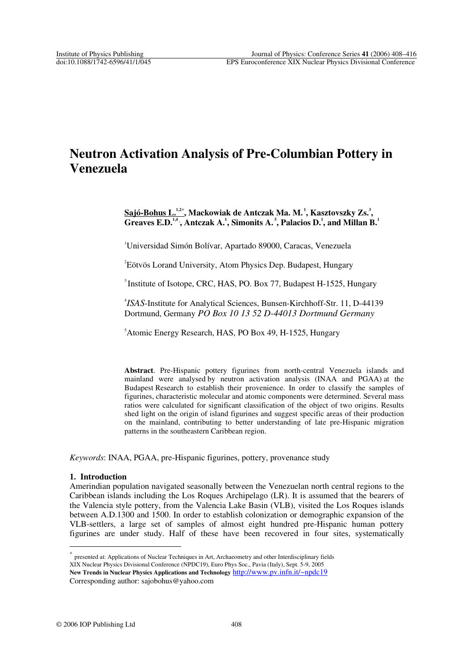# **Neutron Activation Analysis of Pre-Columbian Pottery in Venezuela**

**Sajó-Bohus L.1,2**<sup>∗</sup> **, Mackowiak de Antczak Ma. M. 1, Kasztovszky Zs.3 ,**  Greaves E.D.<sup>1,4</sup>, Antczak A.<sup>1</sup>, Simonits A.<sup>5</sup>, Palacios D.<sup>1</sup>, and Millan B.<sup>1</sup>

1 Universidad Simón Bolívar, Apartado 89000, Caracas, Venezuela

2 Eötvös Lorand University, Atom Physics Dep. Budapest, Hungary

<sup>3</sup> Institute of Isotope, CRC, HAS, PO. Box 77, Budapest H-1525, Hungary

4 *ISAS*-Institute for Analytical Sciences, Bunsen-Kirchhoff-Str. 11, D-44139 Dortmund, Germany *PO Box 10 13 52 D-44013 Dortmund Germany*

5 Atomic Energy Research, HAS, PO Box 49, H-1525, Hungary

**Abstract**. Pre-Hispanic pottery figurines from north-central Venezuela islands and mainland were analysed by neutron activation analysis (INAA and PGAA) at the Budapest Research to establish their provenience. In order to classify the samples of figurines, characteristic molecular and atomic components were determined. Several mass ratios were calculated for significant classification of the object of two origins. Results shed light on the origin of island figurines and suggest specific areas of their production on the mainland, contributing to better understanding of late pre-Hispanic migration patterns in the southeastern Caribbean region.

*Keywords*: INAA, PGAA, pre-Hispanic figurines, pottery, provenance study

## **1. Introduction**

Amerindian population navigated seasonally between the Venezuelan north central regions to the Caribbean islands including the Los Roques Archipelago (LR). It is assumed that the bearers of the Valencia style pottery, from the Valencia Lake Basin (VLB), visited the Los Roques islands between A.D.1300 and 1500. In order to establish colonization or demographic expansion of the VLB-settlers, a large set of samples of almost eight hundred pre-Hispanic human pottery figurines are under study. Half of these have been recovered in four sites, systematically

XIX Nuclear Physics Divisional Conference (NPDC19), Euro Phys Soc., Pavia (Italy), Sept. 5-9, 2005 **New Trends in Nuclear Physics Applications and Technology** http://www.pv.infn.it/~npdc19

-

presented at: Applications of Nuclear Techniques in Art, Archaeometry and other Interdisciplinary fields

Corresponding author: sajobohus@yahoo.com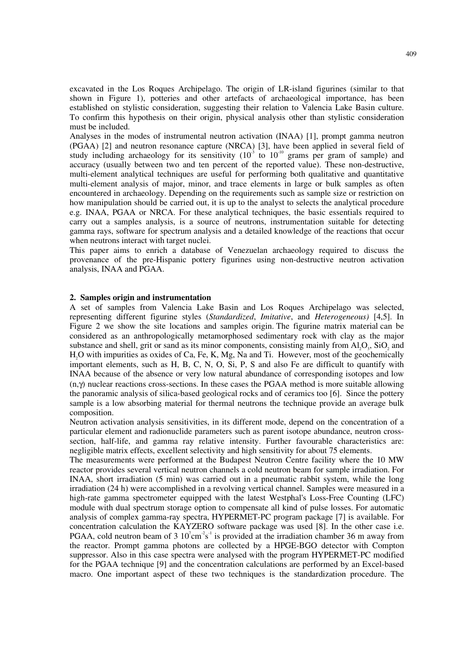excavated in the Los Roques Archipelago. The origin of LR-island figurines (similar to that shown in Figure 1), potteries and other artefacts of archaeological importance, has been established on stylistic consideration, suggesting their relation to Valencia Lake Basin culture. To confirm this hypothesis on their origin, physical analysis other than stylistic consideration must be included.

Analyses in the modes of instrumental neutron activation (INAA) [1], prompt gamma neutron (PGAA) [2] and neutron resonance capture (NRCA) [3], have been applied in several field of study including archaeology for its sensitivity  $(10^3 \text{ to } 10^{-10} \text{ grams per gram of sample})$  and accuracy (usually between two and ten percent of the reported value). These non-destructive, multi-element analytical techniques are useful for performing both qualitative and quantitative multi-element analysis of major, minor, and trace elements in large or bulk samples as often encountered in archaeology. Depending on the requirements such as sample size or restriction on how manipulation should be carried out, it is up to the analyst to selects the analytical procedure e.g. INAA, PGAA or NRCA. For these analytical techniques, the basic essentials required to carry out a samples analysis, is a source of neutrons, instrumentation suitable for detecting gamma rays, software for spectrum analysis and a detailed knowledge of the reactions that occur when neutrons interact with target nuclei.

This paper aims to enrich a database of Venezuelan archaeology required to discuss the provenance of the pre-Hispanic pottery figurines using non-destructive neutron activation analysis, INAA and PGAA.

#### **2. Samples origin and instrumentation**

A set of samples from Valencia Lake Basin and Los Roques Archipelago was selected, representing different figurine styles (*Standardized*, *Imitative*, and *Heterogeneous)* [4,5]. In Figure 2 we show the site locations and samples origin. The figurine matrix material can be considered as an anthropologically metamorphosed sedimentary rock with clay as the major substance and shell, grit or sand as its minor components, consisting mainly from  $Al_2O_3$ ,  $SiO_2$  and H2 O with impurities as oxides of Ca, Fe, K, Mg, Na and Ti. However, most of the geochemically important elements, such as H, B, C, N, O, Si, P, S and also Fe are difficult to quantify with INAA because of the absence or very low natural abundance of corresponding isotopes and low (n,γ) nuclear reactions cross-sections. In these cases the PGAA method is more suitable allowing the panoramic analysis of silica-based geological rocks and of ceramics too [6]. Since the pottery sample is a low absorbing material for thermal neutrons the technique provide an average bulk composition.

Neutron activation analysis sensitivities, in its different mode, depend on the concentration of a particular element and radionuclide parameters such as parent isotope abundance, neutron crosssection, half-life, and gamma ray relative intensity. Further favourable characteristics are: negligible matrix effects, excellent selectivity and high sensitivity for about 75 elements.

The measurements were performed at the Budapest Neutron Centre facility where the 10 MW reactor provides several vertical neutron channels a cold neutron beam for sample irradiation. For INAA, short irradiation (5 min) was carried out in a pneumatic rabbit system, while the long irradiation (24 h) were accomplished in a revolving vertical channel. Samples were measured in a high-rate gamma spectrometer equipped with the latest Westphal's Loss-Free Counting (LFC) module with dual spectrum storage option to compensate all kind of pulse losses. For automatic analysis of complex gamma-ray spectra, HYPERMET-PC program package [7] is available. For concentration calculation the KAYZERO software package was used [8]. In the other case i.e. PGAA, cold neutron beam of 3  $10^7$ cm<sup>-2</sup>s<sup>-1</sup> is provided at the irradiation chamber 36 m away from the reactor. Prompt gamma photons are collected by a HPGE-BGO detector with Compton suppressor. Also in this case spectra were analysed with the program HYPERMET-PC modified for the PGAA technique [9] and the concentration calculations are performed by an Excel-based macro. One important aspect of these two techniques is the standardization procedure. The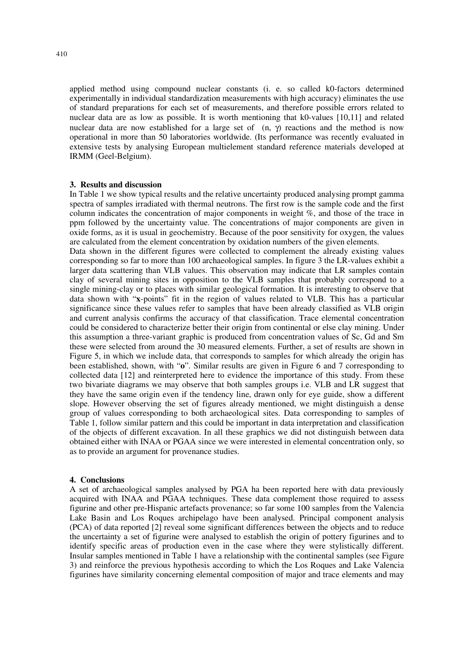applied method using compound nuclear constants (i. e. so called k0-factors determined experimentally in individual standardization measurements with high accuracy) eliminates the use of standard preparations for each set of measurements, and therefore possible errors related to nuclear data are as low as possible. It is worth mentioning that k0-values [10,11] and related nuclear data are now established for a large set of  $(n, \gamma)$  reactions and the method is now operational in more than 50 laboratories worldwide. (Its performance was recently evaluated in extensive tests by analysing European multielement standard reference materials developed at IRMM (Geel-Belgium).

#### **3. Results and discussion**

In Table 1 we show typical results and the relative uncertainty produced analysing prompt gamma spectra of samples irradiated with thermal neutrons. The first row is the sample code and the first column indicates the concentration of major components in weight %, and those of the trace in ppm followed by the uncertainty value. The concentrations of major components are given in oxide forms, as it is usual in geochemistry. Because of the poor sensitivity for oxygen, the values are calculated from the element concentration by oxidation numbers of the given elements. Data shown in the different figures were collected to complement the already existing values corresponding so far to more than 100 archaeological samples. In figure 3 the LR-values exhibit a larger data scattering than VLB values. This observation may indicate that LR samples contain clay of several mining sites in opposition to the VLB samples that probably correspond to a single mining-clay or to places with similar geological formation. It is interesting to observe that data shown with "**x**-points" fit in the region of values related to VLB. This has a particular significance since these values refer to samples that have been already classified as VLB origin and current analysis confirms the accuracy of that classification. Trace elemental concentration could be considered to characterize better their origin from continental or else clay mining. Under this assumption a three-variant graphic is produced from concentration values of Sc, Gd and Sm these were selected from around the 30 measured elements. Further, a set of results are shown in Figure 5, in which we include data, that corresponds to samples for which already the origin has been established, shown, with "**o**". Similar results are given in Figure 6 and 7 corresponding to collected data [12] and reinterpreted here to evidence the importance of this study. From these two bivariate diagrams we may observe that both samples groups i.e. VLB and LR suggest that they have the same origin even if the tendency line, drawn only for eye guide, show a different slope. However observing the set of figures already mentioned, we might distinguish a dense group of values corresponding to both archaeological sites. Data corresponding to samples of Table 1, follow similar pattern and this could be important in data interpretation and classification of the objects of different excavation. In all these graphics we did not distinguish between data obtained either with INAA or PGAA since we were interested in elemental concentration only, so as to provide an argument for provenance studies.

#### **4. Conclusions**

A set of archaeological samples analysed by PGA ha been reported here with data previously acquired with INAA and PGAA techniques. These data complement those required to assess figurine and other pre-Hispanic artefacts provenance; so far some 100 samples from the Valencia Lake Basin and Los Roques archipelago have been analysed. Principal component analysis (PCA) of data reported [2] reveal some significant differences between the objects and to reduce the uncertainty a set of figurine were analysed to establish the origin of pottery figurines and to identify specific areas of production even in the case where they were stylistically different. Insular samples mentioned in Table 1 have a relationship with the continental samples (see Figure 3) and reinforce the previous hypothesis according to which the Los Roques and Lake Valencia figurines have similarity concerning elemental composition of major and trace elements and may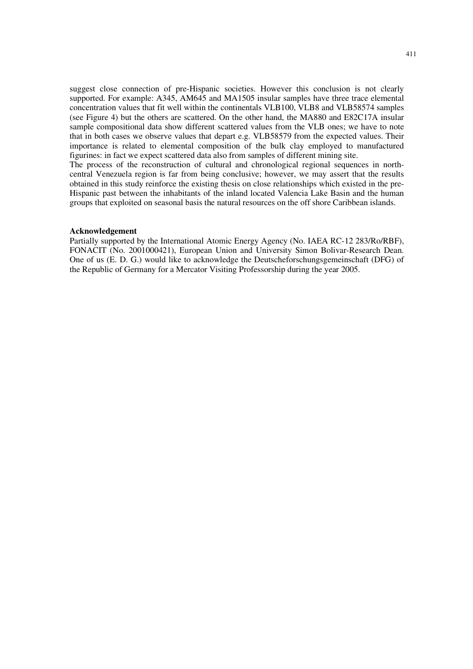suggest close connection of pre-Hispanic societies. However this conclusion is not clearly supported. For example: A345, AM645 and MA1505 insular samples have three trace elemental concentration values that fit well within the continentals VLB100, VLB8 and VLB58574 samples (see Figure 4) but the others are scattered. On the other hand, the MA880 and E82C17A insular sample compositional data show different scattered values from the VLB ones; we have to note that in both cases we observe values that depart e.g. VLB58579 from the expected values. Their importance is related to elemental composition of the bulk clay employed to manufactured figurines: in fact we expect scattered data also from samples of different mining site.

The process of the reconstruction of cultural and chronological regional sequences in northcentral Venezuela region is far from being conclusive; however, we may assert that the results obtained in this study reinforce the existing thesis on close relationships which existed in the pre-Hispanic past between the inhabitants of the inland located Valencia Lake Basin and the human groups that exploited on seasonal basis the natural resources on the off shore Caribbean islands.

#### **Acknowledgement**

Partially supported by the International Atomic Energy Agency (No. IAEA RC-12 283/Ro/RBF), FONACIT (No. 2001000421), European Union and University Simon Bolivar-Research Dean. One of us (E. D. G.) would like to acknowledge the Deutscheforschungsgemeinschaft (DFG) of the Republic of Germany for a Mercator Visiting Professorship during the year 2005.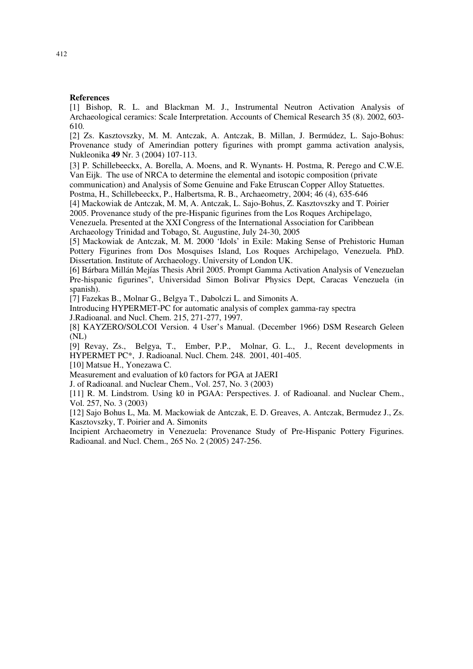### **References**

[1] Bishop, R. L. and Blackman M. J., Instrumental Neutron Activation Analysis of Archaeological ceramics: Scale Interpretation. Accounts of Chemical Research 35 (8). 2002, 603- 610.

[2] Zs. Kasztovszky, M. M. Antczak, A. Antczak, B. Millan, J. Bermúdez, L. Sajo-Bohus: Provenance study of Amerindian pottery figurines with prompt gamma activation analysis, Nukleonika **49** Nr. 3 (2004) 107-113.

[3] P. Schillebeeckx, A. Borella, A. Moens, and R. Wynants, H. Postma, R. Perego and C.W.E. Van Eijk. The use of NRCA to determine the elemental and isotopic composition (private communication) and Analysis of Some Genuine and Fake Etruscan Copper Alloy Statuettes.

Postma, H., Schillebeeckx, P., Halbertsma, R. B., Archaeometry, 2004; 46 (4), 635-646

[4] Mackowiak de Antczak, M. M, A. Antczak, L. Sajo-Bohus, Z. Kasztovszky and T. Poirier 2005. Provenance study of the pre-Hispanic figurines from the Los Roques Archipelago,

Venezuela. Presented at the XXI Congress of the International Association for Caribbean

Archaeology Trinidad and Tobago, St. Augustine, July 24-30, 2005

[5] Mackowiak de Antczak, M. M. 2000 'Idols' in Exile: Making Sense of Prehistoric Human Pottery Figurines from Dos Mosquises Island, Los Roques Archipelago, Venezuela. PhD. Dissertation. Institute of Archaeology. University of London UK.

[6] Bárbara Millán Mejías Thesis Abril 2005. Prompt Gamma Activation Analysis of Venezuelan Pre-hispanic figurines", Universidad Simon Bolivar Physics Dept, Caracas Venezuela (in spanish).

[7] Fazekas B., Molnar G., Belgya T., Dabolczi L. and Simonits A.

Introducing HYPERMET-PC for automatic analysis of complex gamma-ray spectra

J.Radioanal. and Nucl. Chem. 215, 271-277, 1997.

[8] KAYZERO/SOLCOI Version. 4 User's Manual. (December 1966) DSM Research Geleen (NL)

[9] Revay, Zs., Belgya, T., Ember, P.P., Molnar, G. L., J., Recent developments in HYPERMET PC\*, J. Radioanal. Nucl. Chem. 248. 2001, 401-405.

[10] Matsue H., Yonezawa C.

Measurement and evaluation of k0 factors for PGA at JAERI

J. of Radioanal. and Nuclear Chem., Vol. 257, No. 3 (2003)

[11] R. M. Lindstrom. Using k0 in PGAA: Perspectives. J. of Radioanal. and Nuclear Chem., Vol. 257, No. 3 (2003)

[12] Sajo Bohus L, Ma. M. Mackowiak de Antczak, E. D. Greaves, A. Antczak, Bermudez J., Zs. Kasztovszky, T. Poirier and A. Simonits

Incipient Archaeometry in Venezuela: Provenance Study of Pre-Hispanic Pottery Figurines. Radioanal. and Nucl. Chem., 265 No. 2 (2005) 247-256.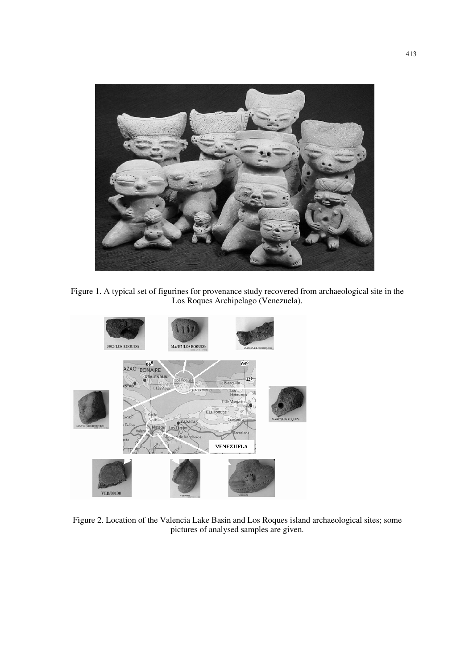

Figure 1. A typical set of figurines for provenance study recovered from archaeological site in the Los Roques Archipelago (Venezuela).



Figure 2. Location of the Valencia Lake Basin and Los Roques island archaeological sites; some pictures of analysed samples are given.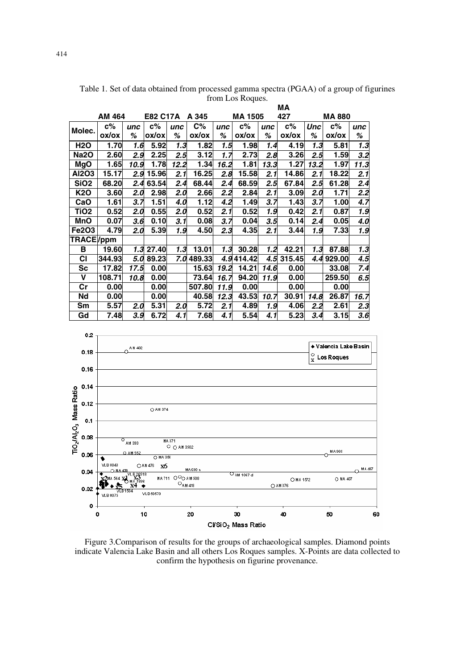|                   |        |      |                   |      |        |                      |           | יייי |            |        |        |                  |
|-------------------|--------|------|-------------------|------|--------|----------------------|-----------|------|------------|--------|--------|------------------|
|                   | AM 464 |      | E82 C17A<br>A 345 |      |        | 427<br><b>MA1505</b> |           |      |            | MA 880 |        |                  |
| Molec.            | $c\%$  | unc  | $c\%$             | unc  | $C\%$  | unc                  | $c\%$     | unc  | $c\%$      | Unc    | $c\%$  | unc              |
|                   | ox/ox  | %    | ox/ox             | %    | ox/ox  | %                    | ox/ox     | %    | ox/ox      | %      | ox/ox  | %                |
| <b>H2O</b>        | 1.70   | 1.6  | 5.92              | 1.3  | 1.82   | 1.5                  | 1.98      | 1.4  | 4.19       | 1.3    | 5.81   | 1.3              |
| Na2O              | 2.60   | 2.9  | 2.25              | 2.5  | 3.12   | 1.7                  | 2.73      | 2.8  | 3.26       | 2.5    | 1.59   | 3.2              |
| <b>MgO</b>        | 1.65   | 10.9 | 1.78              | 12.2 | 1.34   | 16.2                 | 1.81      | 13.3 | 1.27       | 13.2   | 1.97   | 11.3             |
| Al2O3             | 15.17  | 2.9  | 15.96             | 2.1  | 16.25  | 2.8                  | 15.58     | 2.1  | 14.86      | 2.1    | 18.22  | 2.1              |
| SiO <sub>2</sub>  | 68.20  | 2.4  | 63.54             | 2.4  | 68.44  | 2.4                  | 68.59     | 2.5  | 67.84      | 2.5    | 61.28  | $\overline{2.4}$ |
| <b>K2O</b>        | 3.60   | 2.0  | 2.98              | 2.0  | 2.66   | 2.2                  | 2.84      | 2.1  | 3.09       | 2.0    | 1.71   | 2.2              |
| CaO               | 1.61   | 3.7  | 1.51              | 4.0  | 1.12   | 4.2                  | 1.49      | 3.7  | 1.43       | 3.7    | 1.00   | 4.7              |
| TiO2              | 0.52   | 2.0  | 0.55              | 2.0  | 0.52   | 2.1                  | 0.52      | 1.9  | 0.42       | 2.1    | 0.87   | 1.9              |
| <b>MnO</b>        | 0.07   | 3.6  | 0.10              | 3.1  | 0.08   | 3.7                  | 0.04      | 3.5  | 0.14       | 2.4    | 0.05   | 4.0              |
| Fe2O3             | 4.79   | 2.0  | 5.39              | 1.9  | 4.50   | 2.3                  | 4.35      | 2.1  | 3.44       | 1.9    | 7.33   | 1.9              |
| <b>TRACE</b> /ppm |        |      |                   |      |        |                      |           |      |            |        |        |                  |
| в                 | 19.60  | 1.3  | 27.40             | 1.3  | 13.01  | 1.3                  | 30.28     | 1.2  | 42.21      | 1.3    | 87.88  | 1.3              |
| CI                | 344.93 | 5.0  | 89.23             | 7.0  | 489.33 |                      | 4.9414.42 |      | 4.5 315.45 | 4.4    | 929.00 | 4.5              |
| Sc                | 17.82  | 17.5 | 0.00              |      | 15.63  | 19.2                 | 14.21     | 14.6 | 0.00       |        | 33.08  | 7.4              |
| v                 | 108.71 | 10.8 | 0.00              |      | 73.64  | 16.7                 | 94.20     | 11.9 | 0.00       |        | 259.50 | 6.5              |
| Cr                | 0.00   |      | 0.00              |      | 507.80 | 11.9                 | 0.00      |      | 0.00       |        | 0.00   |                  |
| Nd                | 0.00   |      | 0.00              |      | 40.58  | 12.3                 | 43.53     | 10.7 | 30.91      | 14.8   | 26.87  | 16.7             |
| Sm                | 5.57   | 2.0  | 5.31              | 2.0  | 5.72   | 2.1                  | 4.89      | 1.9  | 4.06       | 2.2    | 2.61   | 2.3              |
| Gd                | 7.48   | 3.9  | 6.72              | 4.1  | 7.68   | 4.1                  | 5.54      | 4.1  | 5.23       | 3.4    | 3.15   | $\overline{3.6}$ |

Table 1. Set of data obtained from processed gamma spectra (PGAA) of a group of figurines from Los Roques. **MA** 



Figure 3.Comparison of results for the groups of archaeological samples. Diamond points indicate Valencia Lake Basin and all others Los Roques samples. X-Points are data collected to confirm the hypothesis on figurine provenance.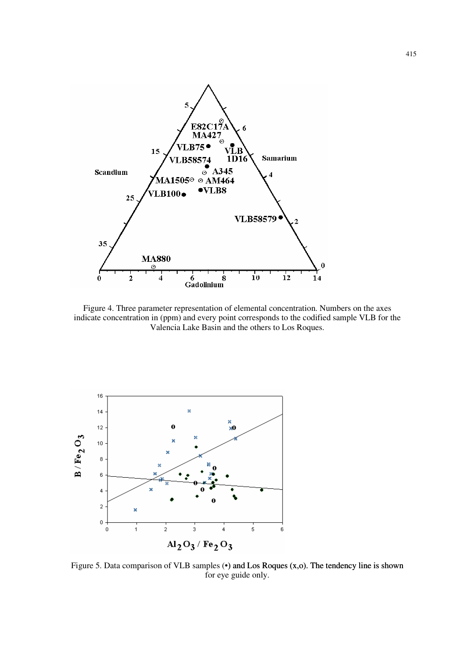

Figure 4. Three parameter representation of elemental concentration. Numbers on the axes indicate concentration in (ppm) and every point corresponds to the codified sample VLB for the Valencia Lake Basin and the others to Los Roques.



Figure 5. Data comparison of VLB samples  $\left( \cdot \right)$  and Los Roques  $(x,0)$ . The tendency line is shown for eye guide only.